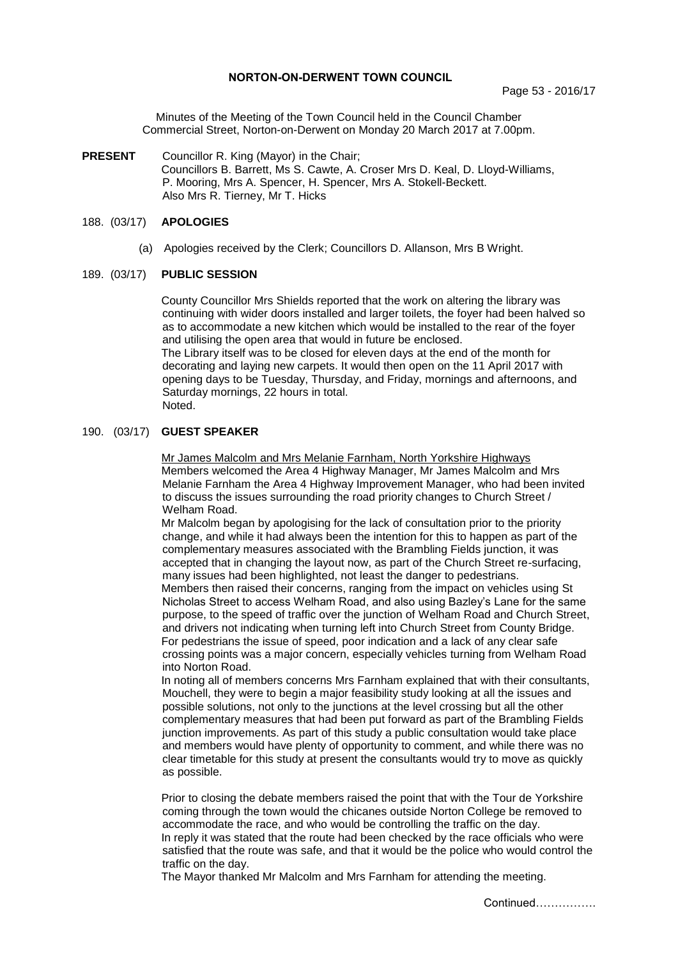## **NORTON-ON-DERWENT TOWN COUNCIL**

Minutes of the Meeting of the Town Council held in the Council Chamber Commercial Street, Norton-on-Derwent on Monday 20 March 2017 at 7.00pm.

**PRESENT** Councillor R. King (Mayor) in the Chair; Councillors B. Barrett, Ms S. Cawte, A. Croser Mrs D. Keal, D. Lloyd-Williams, P. Mooring, Mrs A. Spencer, H. Spencer, Mrs A. Stokell-Beckett. Also Mrs R. Tierney, Mr T. Hicks

# 188. (03/17) **APOLOGIES**

(a) Apologies received by the Clerk; Councillors D. Allanson, Mrs B Wright.

### 189. (03/17) **PUBLIC SESSION**

County Councillor Mrs Shields reported that the work on altering the library was continuing with wider doors installed and larger toilets, the foyer had been halved so as to accommodate a new kitchen which would be installed to the rear of the foyer and utilising the open area that would in future be enclosed. The Library itself was to be closed for eleven days at the end of the month for decorating and laying new carpets. It would then open on the 11 April 2017 with opening days to be Tuesday, Thursday, and Friday, mornings and afternoons, and Saturday mornings, 22 hours in total. Noted.

# 190. (03/17) **GUEST SPEAKER**

Mr James Malcolm and Mrs Melanie Farnham, North Yorkshire Highways Members welcomed the Area 4 Highway Manager, Mr James Malcolm and Mrs Melanie Farnham the Area 4 Highway Improvement Manager, who had been invited to discuss the issues surrounding the road priority changes to Church Street / Welham Road.

Mr Malcolm began by apologising for the lack of consultation prior to the priority change, and while it had always been the intention for this to happen as part of the complementary measures associated with the Brambling Fields junction, it was accepted that in changing the layout now, as part of the Church Street re-surfacing, many issues had been highlighted, not least the danger to pedestrians.

Members then raised their concerns, ranging from the impact on vehicles using St Nicholas Street to access Welham Road, and also using Bazley's Lane for the same purpose, to the speed of traffic over the junction of Welham Road and Church Street, and drivers not indicating when turning left into Church Street from County Bridge. For pedestrians the issue of speed, poor indication and a lack of any clear safe crossing points was a major concern, especially vehicles turning from Welham Road into Norton Road.

In noting all of members concerns Mrs Farnham explained that with their consultants, Mouchell, they were to begin a major feasibility study looking at all the issues and possible solutions, not only to the junctions at the level crossing but all the other complementary measures that had been put forward as part of the Brambling Fields junction improvements. As part of this study a public consultation would take place and members would have plenty of opportunity to comment, and while there was no clear timetable for this study at present the consultants would try to move as quickly as possible.

Prior to closing the debate members raised the point that with the Tour de Yorkshire coming through the town would the chicanes outside Norton College be removed to accommodate the race, and who would be controlling the traffic on the day. In reply it was stated that the route had been checked by the race officials who were satisfied that the route was safe, and that it would be the police who would control the traffic on the day.

The Mayor thanked Mr Malcolm and Mrs Farnham for attending the meeting.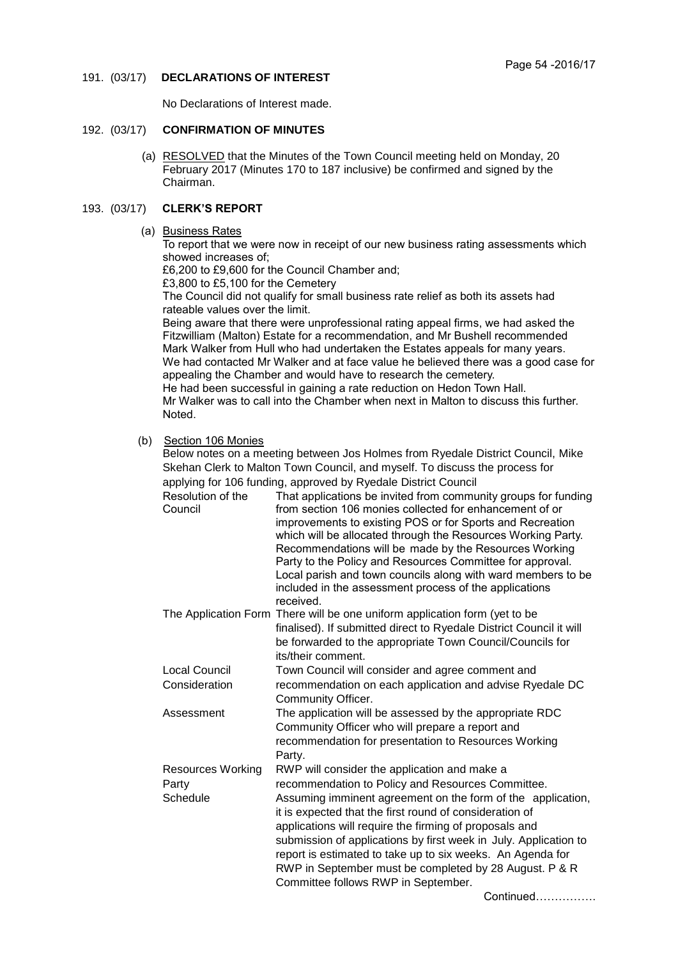191. (03/17) **DECLARATIONS OF INTEREST**

No Declarations of Interest made.

# 192. (03/17) **CONFIRMATION OF MINUTES**

 (a) RESOLVED that the Minutes of the Town Council meeting held on Monday, 20 February 2017 (Minutes 170 to 187 inclusive) be confirmed and signed by the Chairman.

# 193. (03/17) **CLERK'S REPORT**

## (a) Business Rates

To report that we were now in receipt of our new business rating assessments which showed increases of;

£6,200 to £9,600 for the Council Chamber and;

£3,800 to £5,100 for the Cemetery

The Council did not qualify for small business rate relief as both its assets had rateable values over the limit.

Being aware that there were unprofessional rating appeal firms, we had asked the Fitzwilliam (Malton) Estate for a recommendation, and Mr Bushell recommended Mark Walker from Hull who had undertaken the Estates appeals for many years. We had contacted Mr Walker and at face value he believed there was a good case for appealing the Chamber and would have to research the cemetery. He had been successful in gaining a rate reduction on Hedon Town Hall.

Mr Walker was to call into the Chamber when next in Malton to discuss this further. Noted.

# (b) Section 106 Monies

Below notes on a meeting between Jos Holmes from Ryedale District Council, Mike Skehan Clerk to Malton Town Council, and myself. To discuss the process for applying for 106 funding, approved by Ryedale District Council

| Resolution of the<br>Council | That applications be invited from community groups for funding<br>from section 106 monies collected for enhancement of or<br>improvements to existing POS or for Sports and Recreation<br>which will be allocated through the Resources Working Party.<br>Recommendations will be made by the Resources Working<br>Party to the Policy and Resources Committee for approval. |
|------------------------------|------------------------------------------------------------------------------------------------------------------------------------------------------------------------------------------------------------------------------------------------------------------------------------------------------------------------------------------------------------------------------|
|                              | Local parish and town councils along with ward members to be<br>included in the assessment process of the applications<br>received.                                                                                                                                                                                                                                          |
|                              | The Application Form There will be one uniform application form (yet to be<br>finalised). If submitted direct to Ryedale District Council it will<br>he ferverded to the epprensiate Town Council/Councile for                                                                                                                                                               |

- be forwarded to the appropriate Town Council/Councils for its/their comment.
- Local Council Town Council will consider and agree comment and Consideration recommendation on each application and advise Ryedale DC Community Officer.
- Assessment The application will be assessed by the appropriate RDC Community Officer who will prepare a report and recommendation for presentation to Resources Working Party.
- Resources Working RWP will consider the application and make a Party recommendation to Policy and Resources Committee. Schedule **Assuming imminent agreement on the form of the application,** it is expected that the first round of consideration of applications will require the firming of proposals and submission of applications by first week in July. Application to report is estimated to take up to six weeks. An Agenda for RWP in September must be completed by 28 August. P & R Committee follows RWP in September.

Continued…………….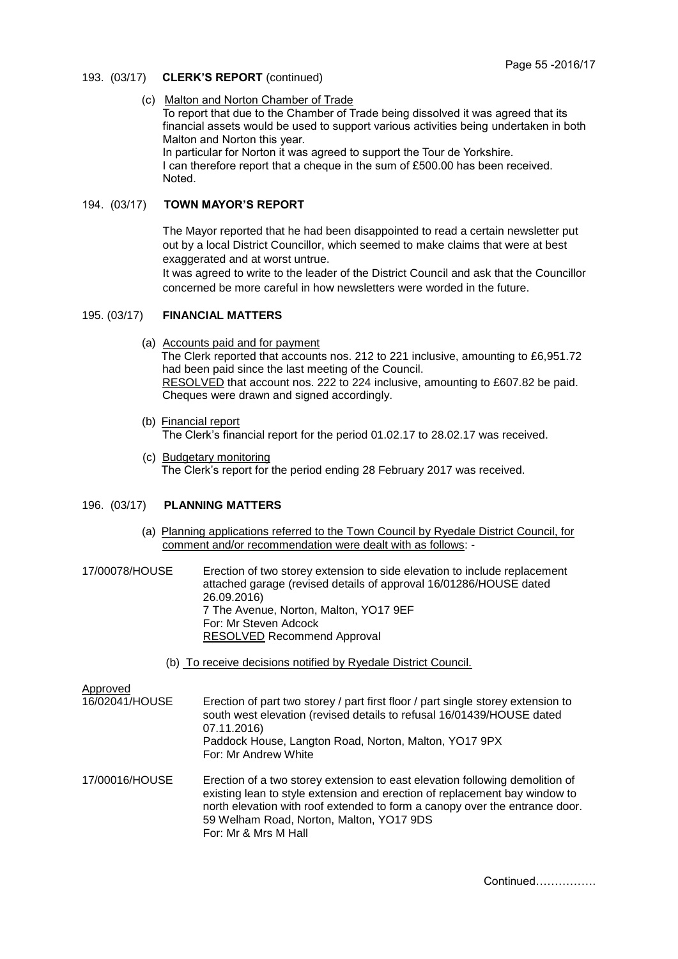# 193. (03/17) **CLERK'S REPORT** (continued)

# (c) Malton and Norton Chamber of Trade

To report that due to the Chamber of Trade being dissolved it was agreed that its financial assets would be used to support various activities being undertaken in both Malton and Norton this year. In particular for Norton it was agreed to support the Tour de Yorkshire.

I can therefore report that a cheque in the sum of £500.00 has been received. Noted.

# 194. (03/17) **TOWN MAYOR'S REPORT**

The Mayor reported that he had been disappointed to read a certain newsletter put out by a local District Councillor, which seemed to make claims that were at best exaggerated and at worst untrue.

It was agreed to write to the leader of the District Council and ask that the Councillor concerned be more careful in how newsletters were worded in the future.

# 195. (03/17) **FINANCIAL MATTERS**

(a) Accounts paid and for payment

The Clerk reported that accounts nos. 212 to 221 inclusive, amounting to £6,951.72 had been paid since the last meeting of the Council. RESOLVED that account nos. 222 to 224 inclusive, amounting to £607.82 be paid. Cheques were drawn and signed accordingly.

- (b) Financial report The Clerk's financial report for the period 01.02.17 to 28.02.17 was received.
- (c) Budgetary monitoring The Clerk's report for the period ending 28 February 2017 was received.

# 196. (03/17) **PLANNING MATTERS**

- (a) Planning applications referred to the Town Council by Ryedale District Council, for comment and/or recommendation were dealt with as follows: -
- 17/00078/HOUSE Erection of two storey extension to side elevation to include replacement attached garage (revised details of approval 16/01286/HOUSE dated 26.09.2016) 7 The Avenue, Norton, Malton, YO17 9EF For: Mr Steven Adcock RESOLVED Recommend Approval
	- (b) To receive decisions notified by Ryedale District Council.

- Approved<br>16/02041/HOUSE Erection of part two storey / part first floor / part single storey extension to south west elevation (revised details to refusal 16/01439/HOUSE dated 07.11.2016) Paddock House, Langton Road, Norton, Malton, YO17 9PX For: Mr Andrew White
- 17/00016/HOUSE Erection of a two storey extension to east elevation following demolition of existing lean to style extension and erection of replacement bay window to north elevation with roof extended to form a canopy over the entrance door. 59 Welham Road, Norton, Malton, YO17 9DS For: Mr & Mrs M Hall

Continued…………….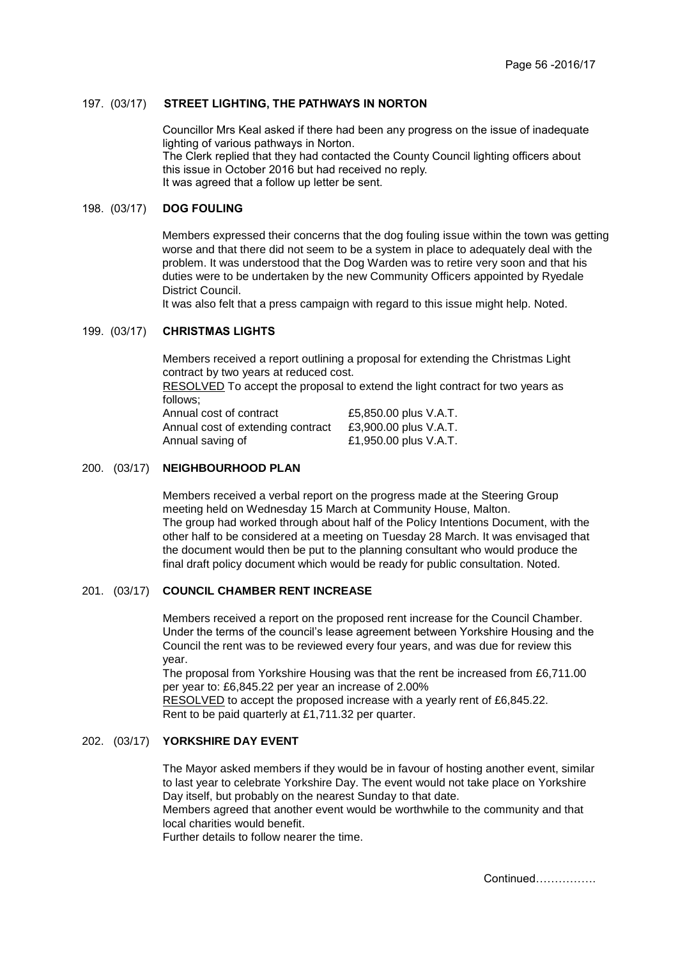# 197. (03/17) **STREET LIGHTING, THE PATHWAYS IN NORTON**

Councillor Mrs Keal asked if there had been any progress on the issue of inadequate lighting of various pathways in Norton. The Clerk replied that they had contacted the County Council lighting officers about this issue in October 2016 but had received no reply. It was agreed that a follow up letter be sent.

# 198. (03/17) **DOG FOULING**

Members expressed their concerns that the dog fouling issue within the town was getting worse and that there did not seem to be a system in place to adequately deal with the problem. It was understood that the Dog Warden was to retire very soon and that his duties were to be undertaken by the new Community Officers appointed by Ryedale District Council.

It was also felt that a press campaign with regard to this issue might help. Noted.

## 199. (03/17) **CHRISTMAS LIGHTS**

Members received a report outlining a proposal for extending the Christmas Light contract by two years at reduced cost.

RESOLVED To accept the proposal to extend the light contract for two years as follows;

| Annual cost of contract           | £5,850.00 plus V.A.T. |
|-----------------------------------|-----------------------|
| Annual cost of extending contract | £3,900.00 plus V.A.T. |
| Annual saving of                  | £1,950.00 plus V.A.T. |

# 200. (03/17) **NEIGHBOURHOOD PLAN**

Members received a verbal report on the progress made at the Steering Group meeting held on Wednesday 15 March at Community House, Malton. The group had worked through about half of the Policy Intentions Document, with the other half to be considered at a meeting on Tuesday 28 March. It was envisaged that the document would then be put to the planning consultant who would produce the final draft policy document which would be ready for public consultation. Noted.

## 201. (03/17) **COUNCIL CHAMBER RENT INCREASE**

Members received a report on the proposed rent increase for the Council Chamber. Under the terms of the council's lease agreement between Yorkshire Housing and the Council the rent was to be reviewed every four years, and was due for review this year.

The proposal from Yorkshire Housing was that the rent be increased from £6,711.00 per year to: £6,845.22 per year an increase of 2.00%

RESOLVED to accept the proposed increase with a yearly rent of £6,845.22. Rent to be paid quarterly at £1,711.32 per quarter.

# 202. (03/17) **YORKSHIRE DAY EVENT**

The Mayor asked members if they would be in favour of hosting another event, similar to last year to celebrate Yorkshire Day. The event would not take place on Yorkshire Day itself, but probably on the nearest Sunday to that date.

Members agreed that another event would be worthwhile to the community and that local charities would benefit.

Further details to follow nearer the time.

Continued…………….